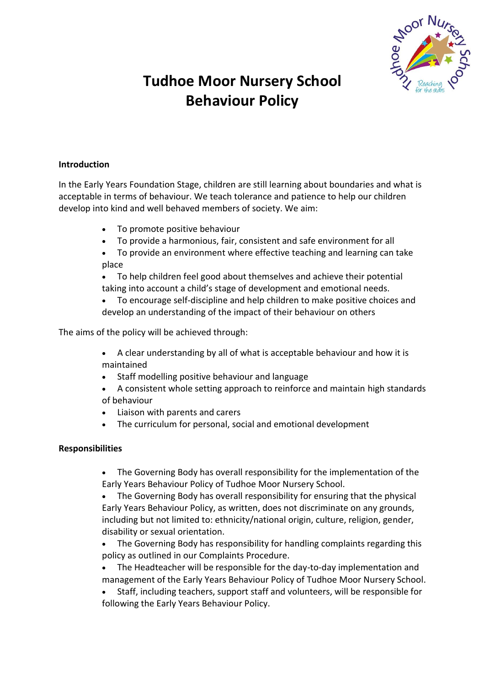

# **Tudhoe Moor Nursery School Behaviour Policy**

### **Introduction**

In the Early Years Foundation Stage, children are still learning about boundaries and what is acceptable in terms of behaviour. We teach tolerance and patience to help our children develop into kind and well behaved members of society. We aim:

- To promote positive behaviour
- To provide a harmonious, fair, consistent and safe environment for all
- To provide an environment where effective teaching and learning can take place
- To help children feel good about themselves and achieve their potential taking into account a child's stage of development and emotional needs.
- To encourage self-discipline and help children to make positive choices and develop an understanding of the impact of their behaviour on others

The aims of the policy will be achieved through:

- A clear understanding by all of what is acceptable behaviour and how it is maintained
- Staff modelling positive behaviour and language
- A consistent whole setting approach to reinforce and maintain high standards of behaviour
- Liaison with parents and carers
- The curriculum for personal, social and emotional development

#### **Responsibilities**

- The Governing Body has overall responsibility for the implementation of the Early Years Behaviour Policy of Tudhoe Moor Nursery School.
- The Governing Body has overall responsibility for ensuring that the physical Early Years Behaviour Policy, as written, does not discriminate on any grounds, including but not limited to: ethnicity/national origin, culture, religion, gender, disability or sexual orientation.
- The Governing Body has responsibility for handling complaints regarding this policy as outlined in our Complaints Procedure.
- The Headteacher will be responsible for the day-to-day implementation and management of the Early Years Behaviour Policy of Tudhoe Moor Nursery School.
- Staff, including teachers, support staff and volunteers, will be responsible for following the Early Years Behaviour Policy.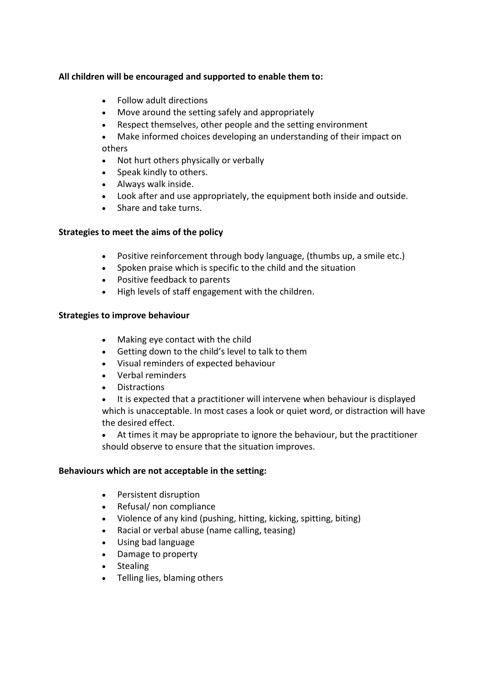# **All children will be encouraged and supported to enable them to:**

- Follow adult directions
- Move around the setting safely and appropriately
- Respect themselves, other people and the setting environment
- Make informed choices developing an understanding of their impact on others
- Not hurt others physically or verbally
- Speak kindly to others.
- Always walk inside.
- Look after and use appropriately, the equipment both inside and outside.
- Share and take turns.

#### **Strategies to meet the aims of the policy**

- Positive reinforcement through body language, (thumbs up, a smile etc.)
- Spoken praise which is specific to the child and the situation
- Positive feedback to parents
- High levels of staff engagement with the children.

#### **Strategies to improve behaviour**

- Making eye contact with the child
- Getting down to the child's level to talk to them
- Visual reminders of expected behaviour
- Verbal reminders
- Distractions
- It is expected that a practitioner will intervene when behaviour is displayed which is unacceptable. In most cases a look or quiet word, or distraction will have the desired effect.
- At times it may be appropriate to ignore the behaviour, but the practitioner should observe to ensure that the situation improves.

#### **Behaviours which are not acceptable in the setting:**

- Persistent disruption
- Refusal/ non compliance
- Violence of any kind (pushing, hitting, kicking, spitting, biting)
- Racial or verbal abuse (name calling, teasing)
- Using bad language
- Damage to property
- Stealing
- Telling lies, blaming others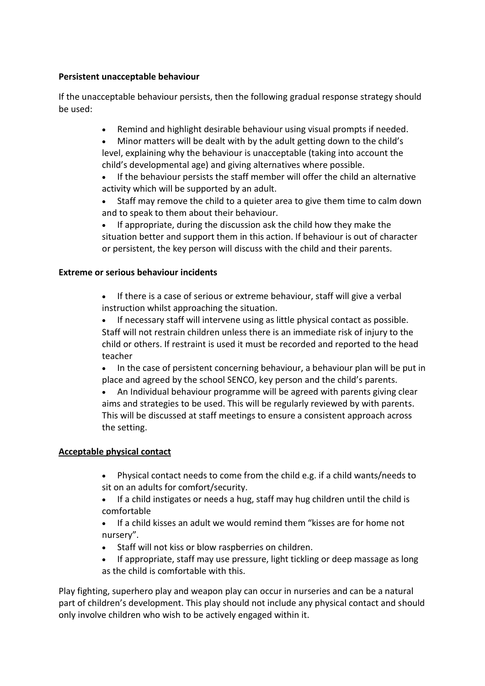# **Persistent unacceptable behaviour**

If the unacceptable behaviour persists, then the following gradual response strategy should be used:

- Remind and highlight desirable behaviour using visual prompts if needed.
- Minor matters will be dealt with by the adult getting down to the child's level, explaining why the behaviour is unacceptable (taking into account the child's developmental age) and giving alternatives where possible.
- If the behaviour persists the staff member will offer the child an alternative activity which will be supported by an adult.
- Staff may remove the child to a quieter area to give them time to calm down and to speak to them about their behaviour.
- If appropriate, during the discussion ask the child how they make the situation better and support them in this action. If behaviour is out of character or persistent, the key person will discuss with the child and their parents.

## **Extreme or serious behaviour incidents**

- If there is a case of serious or extreme behaviour, staff will give a verbal instruction whilst approaching the situation.
- If necessary staff will intervene using as little physical contact as possible. Staff will not restrain children unless there is an immediate risk of injury to the child or others. If restraint is used it must be recorded and reported to the head teacher
- In the case of persistent concerning behaviour, a behaviour plan will be put in place and agreed by the school SENCO, key person and the child's parents.
- An Individual behaviour programme will be agreed with parents giving clear aims and strategies to be used. This will be regularly reviewed by with parents. This will be discussed at staff meetings to ensure a consistent approach across the setting.

# **Acceptable physical contact**

- Physical contact needs to come from the child e.g. if a child wants/needs to sit on an adults for comfort/security.
- If a child instigates or needs a hug, staff may hug children until the child is comfortable
- If a child kisses an adult we would remind them "kisses are for home not nursery".
- Staff will not kiss or blow raspberries on children.
- If appropriate, staff may use pressure, light tickling or deep massage as long as the child is comfortable with this.

Play fighting, superhero play and weapon play can occur in nurseries and can be a natural part of children's development. This play should not include any physical contact and should only involve children who wish to be actively engaged within it.